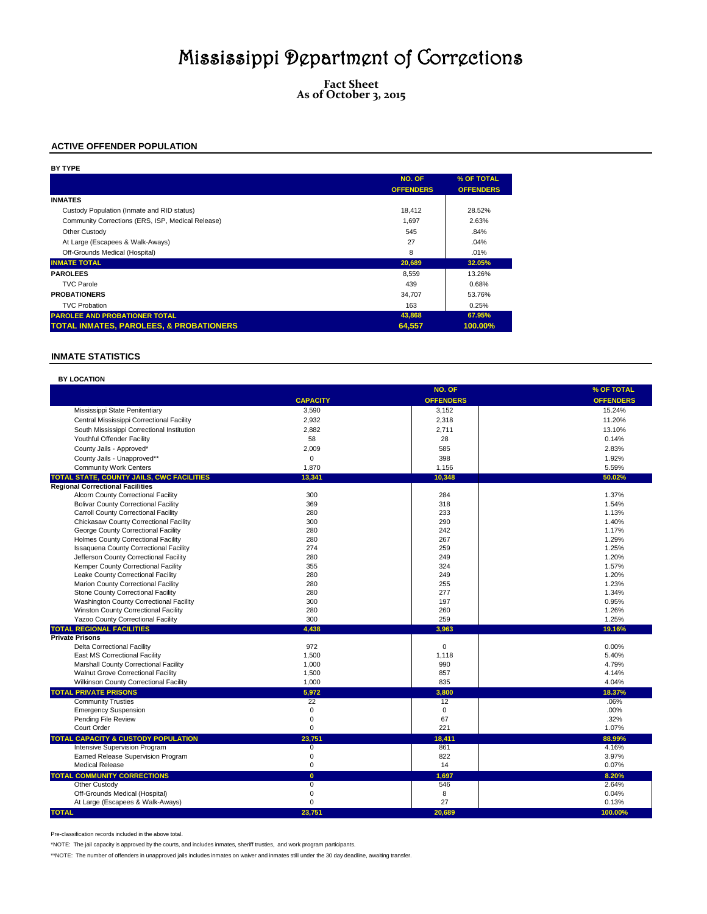**Fact Sheet As of October 3, 2015**

## **ACTIVE OFFENDER POPULATION**

| BY TYPE                                            |                  |                  |
|----------------------------------------------------|------------------|------------------|
|                                                    | NO. OF           | % OF TOTAL       |
|                                                    | <b>OFFENDERS</b> | <b>OFFENDERS</b> |
| <b>INMATES</b>                                     |                  |                  |
| Custody Population (Inmate and RID status)         | 18.412           | 28.52%           |
| Community Corrections (ERS, ISP, Medical Release)  | 1.697            | 2.63%            |
| Other Custody                                      | 545              | .84%             |
| At Large (Escapees & Walk-Aways)                   | 27               | .04%             |
| Off-Grounds Medical (Hospital)                     | 8                | .01%             |
| <b>INMATE TOTAL</b>                                | 20,689           | 32.05%           |
| <b>PAROLEES</b>                                    | 8,559            | 13.26%           |
| <b>TVC Parole</b>                                  | 439              | 0.68%            |
| <b>PROBATIONERS</b>                                | 34.707           | 53.76%           |
| <b>TVC Probation</b>                               | 163              | 0.25%            |
| <b>PAROLEE AND PROBATIONER TOTAL</b>               | 43,868           | 67.95%           |
| <b>TOTAL INMATES, PAROLEES, &amp; PROBATIONERS</b> | 64,557           | 100.00%          |

### **INMATE STATISTICS**

| <b>BY LOCATION</b>                                           |                     |                   |                  |
|--------------------------------------------------------------|---------------------|-------------------|------------------|
|                                                              |                     | NO. OF            | % OF TOTAL       |
|                                                              | <b>CAPACITY</b>     | <b>OFFENDERS</b>  | <b>OFFENDERS</b> |
| Mississippi State Penitentiary                               | 3,590               | 3,152             | 15.24%           |
| Central Mississippi Correctional Facility                    | 2,932               | 2,318             | 11.20%           |
| South Mississippi Correctional Institution                   | 2.882               | 2.711             | 13.10%           |
| Youthful Offender Facility                                   | 58                  | 28                | 0.14%            |
| County Jails - Approved*                                     | 2,009               | 585               | 2.83%            |
| County Jails - Unapproved**                                  | 0                   | 398               | 1.92%            |
| <b>Community Work Centers</b>                                | 1,870               | 1,156             | 5.59%            |
| TOTAL STATE, COUNTY JAILS, CWC FACILITIES                    | 13,341              | 10.348            | 50.02%           |
| <b>Regional Correctional Facilities</b>                      |                     |                   |                  |
| <b>Alcorn County Correctional Facility</b>                   | 300                 | 284               | 1.37%            |
| <b>Bolivar County Correctional Facility</b>                  | 369                 | 318               | 1.54%            |
| <b>Carroll County Correctional Facility</b>                  | 280                 | 233               | 1.13%            |
| Chickasaw County Correctional Facility                       | 300                 | 290               | 1.40%            |
| George County Correctional Facility                          | 280                 | 242               | 1.17%            |
| Holmes County Correctional Facility                          | 280                 | 267               | 1.29%            |
| <b>Issaquena County Correctional Facility</b>                | 274                 | 259               | 1.25%            |
| Jefferson County Correctional Facility                       | 280                 | 249               | 1.20%            |
| Kemper County Correctional Facility                          | 355                 | 324               | 1.57%            |
| Leake County Correctional Facility                           | 280                 | 249               | 1.20%            |
| Marion County Correctional Facility                          | 280                 | 255               | 1.23%            |
| Stone County Correctional Facility                           | 280                 | 277               | 1.34%            |
| Washington County Correctional Facility                      | 300                 | 197               | 0.95%            |
| Winston County Correctional Facility                         | 280                 | 260               | 1.26%            |
| <b>Yazoo County Correctional Facility</b>                    | 300                 | 259               | 1.25%            |
| <b>TOTAL REGIONAL FACILITIES</b>                             | 4.438               | 3.963             | 19.16%           |
| <b>Private Prisons</b>                                       |                     |                   |                  |
| <b>Delta Correctional Facility</b>                           | 972                 | $\Omega$          | 0.00%            |
| East MS Correctional Facility                                | 1,500               | 1,118             | 5.40%            |
| Marshall County Correctional Facility                        | 1,000               | 990               | 4.79%            |
| Walnut Grove Correctional Facility                           | 1,500               | 857<br>835        | 4.14%<br>4.04%   |
| <b>Wilkinson County Correctional Facility</b>                | 1.000               |                   |                  |
| <b>TOTAL PRIVATE PRISONS</b>                                 | 5,972               | 3,800             | 18.37%           |
| <b>Community Trusties</b>                                    | $\overline{22}$     | 12                | .06%             |
| <b>Emergency Suspension</b>                                  | 0<br>0              | $\mathbf 0$<br>67 | .00%<br>.32%     |
| Pending File Review<br>Court Order                           | 0                   | 221               | 1.07%            |
|                                                              |                     |                   |                  |
| <b>TOTAL CAPACITY &amp; CUSTODY POPULATION</b>               | 23,751              | 18,411            | 88.99%           |
| <b>Intensive Supervision Program</b>                         | $\overline{0}$<br>0 | 861<br>822        | 4.16%<br>3.97%   |
| Earned Release Supervision Program<br><b>Medical Release</b> | 0                   | 14                | 0.07%            |
| <b>TOTAL COMMUNITY CORRECTIONS</b>                           |                     |                   |                  |
|                                                              | $\mathbf{0}$        | 1.697             | 8.20%            |
| <b>Other Custody</b><br>Off-Grounds Medical (Hospital)       | $\overline{0}$<br>0 | 546<br>8          | 2.64%<br>0.04%   |
| At Large (Escapees & Walk-Aways)                             | $\Omega$            | 27                | 0.13%            |
|                                                              |                     |                   |                  |
| <b>TOTAL</b>                                                 | 23.751              | 20.689            | 100.00%          |

Pre-classification records included in the above total.

\*NOTE: The jail capacity is approved by the courts, and includes inmates, sheriff trusties, and work program participants.

\*\*NOTE: The number of offenders in unapproved jails includes inmates on waiver and inmates still under the 30 day deadline, awaiting transfer.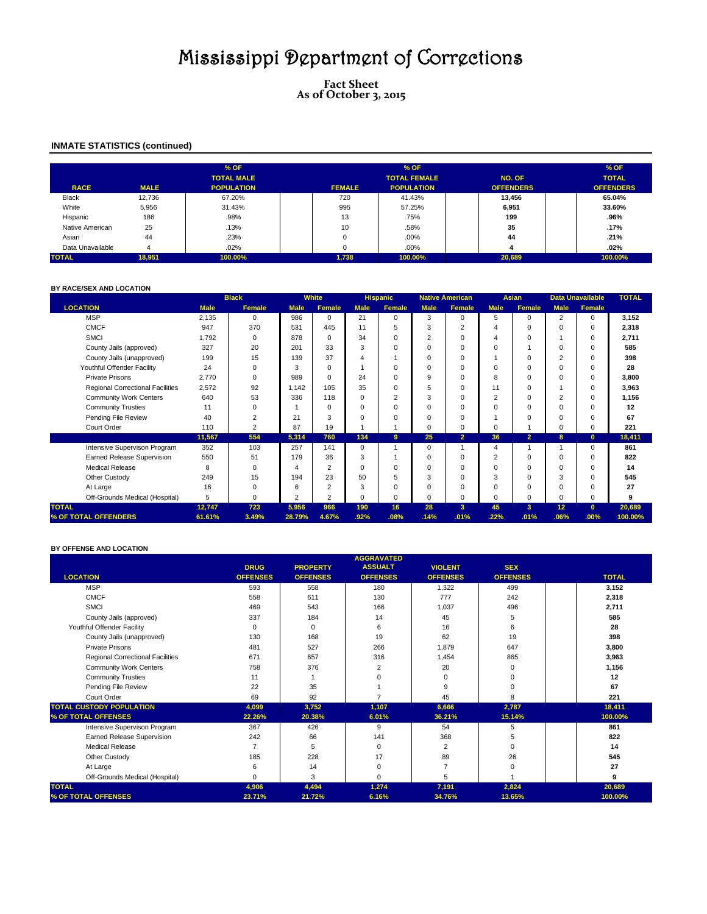**Fact Sheet As of October 3, 2015**

## **INMATE STATISTICS (continued)**

|                  |             | % OF              |               | % OF                |                  | % OF             |
|------------------|-------------|-------------------|---------------|---------------------|------------------|------------------|
|                  |             | <b>TOTAL MALE</b> |               | <b>TOTAL FEMALE</b> | NO. OF           | <b>TOTAL</b>     |
| <b>RACE</b>      | <b>MALE</b> | <b>POPULATION</b> | <b>FEMALE</b> | <b>POPULATION</b>   | <b>OFFENDERS</b> | <b>OFFENDERS</b> |
| <b>Black</b>     | 12,736      | 67.20%            | 720           | 41.43%              | 13.456           | 65.04%           |
| White            | 5,956       | 31.43%            | 995           | 57.25%              | 6,951            | 33.60%           |
| Hispanic         | 186         | .98%              | 13            | .75%                | 199              | .96%             |
| Native American  | 25          | .13%              | 10            | .58%                | 35               | .17%             |
| Asian            | 44          | .23%              |               | .00%                | 44               | .21%             |
| Data Unavailable | 4           | .02%              |               | .00%                |                  | $.02\%$          |
| <b>TOTAL</b>     | 18,951      | 100.00%           | 1,738         | 100.00%             | 20,689           | 100.00%          |

### **BY RACE/SEX AND LOCATION**

|                                  |             | <b>Black</b>   |                | <b>White</b>   |                | <b>Hispanic</b> |                | <b>Native American</b> |                | <b>Asian</b>   |             | <b>Data Unavailable</b> | <b>TOTAL</b> |
|----------------------------------|-------------|----------------|----------------|----------------|----------------|-----------------|----------------|------------------------|----------------|----------------|-------------|-------------------------|--------------|
| <b>LOCATION</b>                  | <b>Male</b> | <b>Female</b>  | <b>Male</b>    | <b>Female</b>  | <b>Male</b>    | Female          | <b>Male</b>    | <b>Female</b>          | <b>Male</b>    | <b>Female</b>  | <b>Male</b> | Female                  |              |
| <b>MSP</b>                       | 2,135       | 0              | 986            | $\Omega$       | 21             | $\Omega$        | 3              | $\Omega$               | 5              | $\Omega$       | 2           | $\Omega$                | 3,152        |
| <b>CMCF</b>                      | 947         | 370            | 531            | 445            | 11             |                 | 3              | $\overline{c}$         | 4              | $\Omega$       | $\Omega$    | $\Omega$                | 2,318        |
| <b>SMCI</b>                      | 1,792       | $\mathbf 0$    | 878            | $\Omega$       | 34             |                 | $\overline{c}$ | $\Omega$               | 4              | $\Omega$       |             | $\Omega$                | 2,711        |
| County Jails (approved)          | 327         | 20             | 201            | 33             | 3              |                 | U              | $\Omega$               | 0              |                | 0           | $\Omega$                | 585          |
| County Jails (unapproved)        | 199         | 15             | 139            | 37             | $\overline{4}$ |                 |                | $\Omega$               |                | $\Omega$       | 2           | $\Omega$                | 398          |
| Youthful Offender Facility       | 24          | $\Omega$       | 3              | $\Omega$       |                | $\Omega$        | U              | $\Omega$               | $\Omega$       | $\Omega$       | $\Omega$    | $\Omega$                | 28           |
| <b>Private Prisons</b>           | 2,770       | $\Omega$       | 989            | $\Omega$       | 24             |                 | 9              | $\Omega$               | 8              | $\Omega$       | $\Omega$    | $\Omega$                | 3,800        |
| Regional Correctional Facilities | 2,572       | 92             | 1,142          | 105            | 35             |                 | 5              | $\Omega$               | 11             | 0              |             | $\Omega$                | 3,963        |
| <b>Community Work Centers</b>    | 640         | 53             | 336            | 118            | $\Omega$       | $\overline{2}$  | 3              | $\Omega$               | 2              | $\Omega$       | 2           | $\Omega$                | 1,156        |
| <b>Community Trusties</b>        | 11          | $\Omega$       |                | $\Omega$       | $\Omega$       |                 |                | $\Omega$               | 0              | $\Omega$       | $\Omega$    | $\Omega$                | 12           |
| Pending File Review              | 40          | $\overline{2}$ | 21             | 3              | $\Omega$       |                 |                | $\Omega$               |                | $\Omega$       | $\Omega$    | $\Omega$                | 67           |
| Court Order                      | 110         | 2              | 87             | 19             |                |                 | 0              | $\Omega$               | 0              |                | 0           | $\Omega$                | 221          |
|                                  | 11,567      | 554            | 5,314          | 760            | 134            | 9               | 25             | $\overline{2}$         | 36             | $\overline{2}$ | 8           | $\mathbf{0}$            | 18,411       |
| Intensive Supervison Program     | 352         | 103            | 257            | 141            | 0              |                 | 0              |                        | 4              |                |             | $\Omega$                | 861          |
| Earned Release Supervision       | 550         | 51             | 179            | 36             | 3              |                 |                | $\Omega$               | $\overline{2}$ | $\Omega$       | $\Omega$    | $\Omega$                | 822          |
| <b>Medical Release</b>           | 8           | 0              | 4              | $\overline{2}$ | $\Omega$       |                 |                | $\Omega$               | 0              | $\Omega$       | 0           | $\Omega$                | 14           |
| Other Custody                    | 249         | 15             | 194            | 23             | 50             |                 | 3              | $\Omega$               | 3              | $\Omega$       | 3           | $\Omega$                | 545          |
| At Large                         | 16          | $\Omega$       | 6              | $\overline{2}$ | 3              |                 |                | $\Omega$               | $\Omega$       | $\Omega$       | $\Omega$    | $\Omega$                | 27           |
| Off-Grounds Medical (Hospital)   | 5           | $\Omega$       | $\overline{2}$ | $\overline{2}$ | $\Omega$       | $\Omega$        | O              | $\Omega$               | $\Omega$       | $\Omega$       | $\Omega$    | $\Omega$                | 9            |
| <b>TOTAL</b>                     | 12,747      | 723            | 5,956          | 966            | 190            | 16              | 28             | 3                      | 45             | 3              | 12          | $\mathbf{0}$            | 20,689       |
| % OF TOTAL OFFENDERS             | 61.61%      | 3.49%          | 28.79%         | 4.67%          | .92%           | .08%            | .14%           | .01%                   | .22%           | .01%           | .06%        | .00%                    | 100.00%      |

#### **BY OFFENSE AND LOCATION**

|                                  |                 |                 | <b>AGGRAVATED</b> |                 |                 |              |
|----------------------------------|-----------------|-----------------|-------------------|-----------------|-----------------|--------------|
|                                  | <b>DRUG</b>     | <b>PROPERTY</b> | <b>ASSUALT</b>    | <b>VIOLENT</b>  | <b>SEX</b>      |              |
| <b>LOCATION</b>                  | <b>OFFENSES</b> | <b>OFFENSES</b> | <b>OFFENSES</b>   | <b>OFFENSES</b> | <b>OFFENSES</b> | <b>TOTAL</b> |
| <b>MSP</b>                       | 593             | 558             | 180               | 1,322           | 499             | 3.152        |
| <b>CMCF</b>                      | 558             | 611             | 130               | 777             | 242             | 2,318        |
| <b>SMCI</b>                      | 469             | 543             | 166               | 1,037           | 496             | 2,711        |
| County Jails (approved)          | 337             | 184             | 14                | 45              | 5               | 585          |
| Youthful Offender Facility       | $\Omega$        | 0               | 6                 | 16              | 6               | 28           |
| County Jails (unapproved)        | 130             | 168             | 19                | 62              | 19              | 398          |
| Private Prisons                  | 481             | 527             | 266               | 1,879           | 647             | 3,800        |
| Regional Correctional Facilities | 671             | 657             | 316               | 1,454           | 865             | 3,963        |
| <b>Community Work Centers</b>    | 758             | 376             | 2                 | 20              | 0               | 1,156        |
| <b>Community Trusties</b>        | 11              |                 | $\Omega$          | U               | $\Omega$        | 12           |
| Pending File Review              | 22              | 35              |                   | 9               | $\Omega$        | 67           |
| Court Order                      | 69              | 92              | ⇁                 | 45              | 8               | 221          |
| <b>TOTAL CUSTODY POPULATION</b>  | 4,099           | 3,752           | 1,107             | 6,666           | 2,787           | 18,411       |
| % OF TOTAL OFFENSES              | 22.26%          | 20.38%          | 6.01%             | 36.21%          | 15.14%          | 100.00%      |
| Intensive Supervison Program     | 367             | 426             | 9                 | 54              | 5               | 861          |
| Earned Release Supervision       | 242             | 66              | 141               | 368             | 5               | 822          |
| <b>Medical Release</b>           |                 | 5               | $\Omega$          | 2               | $\Omega$        | 14           |
| Other Custody                    | 185             | 228             | 17                | 89              | 26              | 545          |
| At Large                         | 6               | 14              | $\Omega$          |                 | $\Omega$        | 27           |
| Off-Grounds Medical (Hospital)   | $\Omega$        | 3               | $\Omega$          | 5               |                 | 9            |
| <b>TOTAL</b>                     | 4,906           | 4,494           | 1,274             | 7,191           | 2,824           | 20,689       |
| % OF TOTAL OFFENSES              | 23.71%          | 21.72%          | 6.16%             | 34.76%          | 13.65%          | 100.00%      |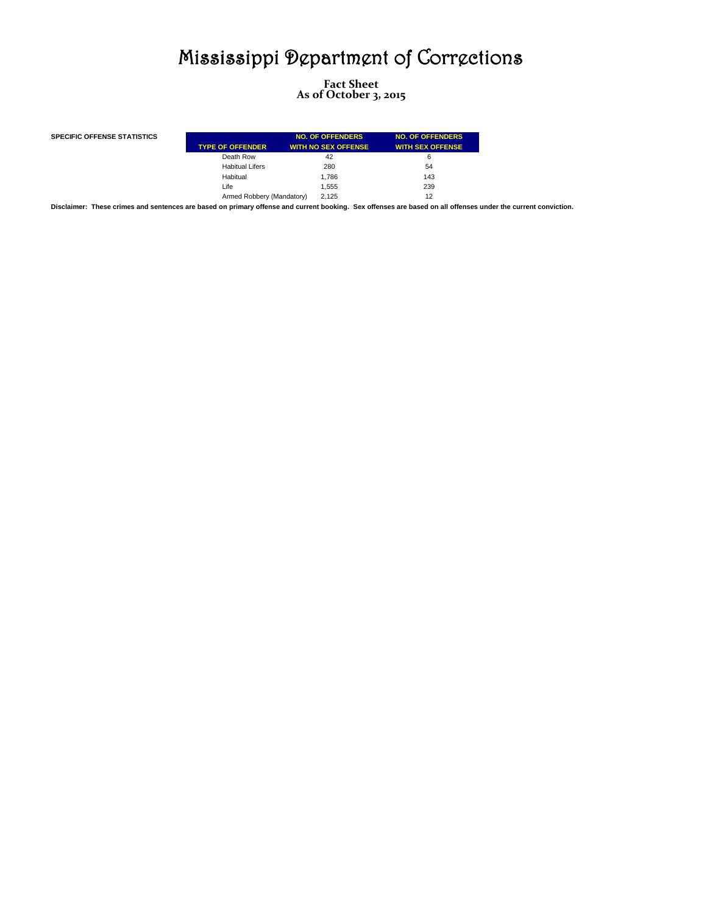**Fact Sheet As of October 3, 2015**

| <b>SPECIFIC OFFENSE STATISTICS</b> | <b>TYPE OF OFFENDER</b>   | <b>NO. OF OFFENDERS</b><br><b>WITH NO SEX OFFENSE</b> | <b>NO. OF OFFENDERS</b><br><b>WITH SEX OFFENSE</b> |
|------------------------------------|---------------------------|-------------------------------------------------------|----------------------------------------------------|
|                                    | Death Row                 | 42                                                    | 6                                                  |
|                                    | <b>Habitual Lifers</b>    | 280                                                   | 54                                                 |
|                                    | Habitual                  | 1.786                                                 | 143                                                |
|                                    | Life                      | 1.555                                                 | 239                                                |
|                                    | Armed Robbery (Mandatory) | 2.125                                                 | 12                                                 |

**Disclaimer: These crimes and sentences are based on primary offense and current booking. Sex offenses are based on all offenses under the current conviction.**